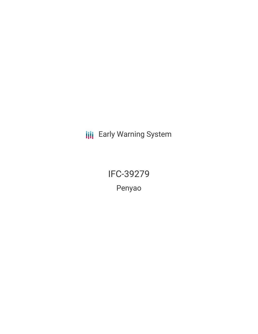**III** Early Warning System

IFC-39279 Penyao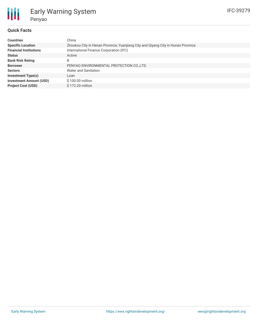

# Early Warning System Penyao

## **Quick Facts**

| <b>Countries</b>               | China                                                                            |
|--------------------------------|----------------------------------------------------------------------------------|
| <b>Specific Location</b>       | Zhoukou City in Henan Province, Yuanjiang City and Qiyang City in Hunan Province |
| <b>Financial Institutions</b>  | International Finance Corporation (IFC)                                          |
| <b>Status</b>                  | Active                                                                           |
| <b>Bank Risk Rating</b>        | B                                                                                |
| <b>Borrower</b>                | PENYAO ENVIRONMENTAL PROTECTION CO., LTD.                                        |
| <b>Sectors</b>                 | <b>Water and Sanitation</b>                                                      |
| <b>Investment Type(s)</b>      | Loan                                                                             |
| <b>Investment Amount (USD)</b> | \$100.00 million                                                                 |
| <b>Project Cost (USD)</b>      | \$172.20 million                                                                 |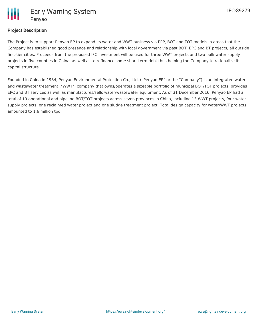

# **Project Description**

The Project is to support Penyao EP to expand its water and WWT business via PPP, BOT and TOT models in areas that the Company has established good presence and relationship with local government via past BOT, EPC and BT projects, all outside first-tier cities. Proceeds from the proposed IFC investment will be used for three WWT projects and two bulk water supply projects in five counties in China, as well as to refinance some short-term debt thus helping the Company to rationalize its capital structure.

Founded in China in 1984, Penyao Environmental Protection Co., Ltd. ("Penyao EP" or the "Company") is an integrated water and wastewater treatment ("WWT") company that owns/operates a sizeable portfolio of municipal BOT/TOT projects, provides EPC and BT services as well as manufactures/sells water/wastewater equipment. As of 31 December 2016, Penyao EP had a total of 19 operational and pipeline BOT/TOT projects across seven provinces in China, including 13 WWT projects, four water supply projects, one reclaimed water project and one sludge treatment project. Total design capacity for water/WWT projects amounted to 1.6 million tpd.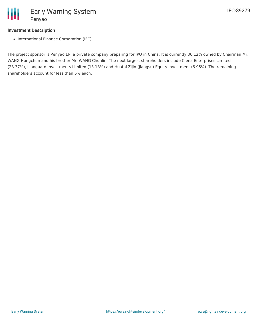## **Investment Description**

• International Finance Corporation (IFC)

The project sponsor is Penyao EP, a private company preparing for IPO in China. It is currently 36.12% owned by Chairman Mr. WANG Hongchun and his brother Mr. WANG Chunlin. The next largest shareholders include Ciena Enterprises Limited (23.37%), Lionguard Investments Limited (13.18%) and Huatai Zijin (Jiangsu) Equity Investment (6.95%). The remaining shareholders account for less than 5% each.